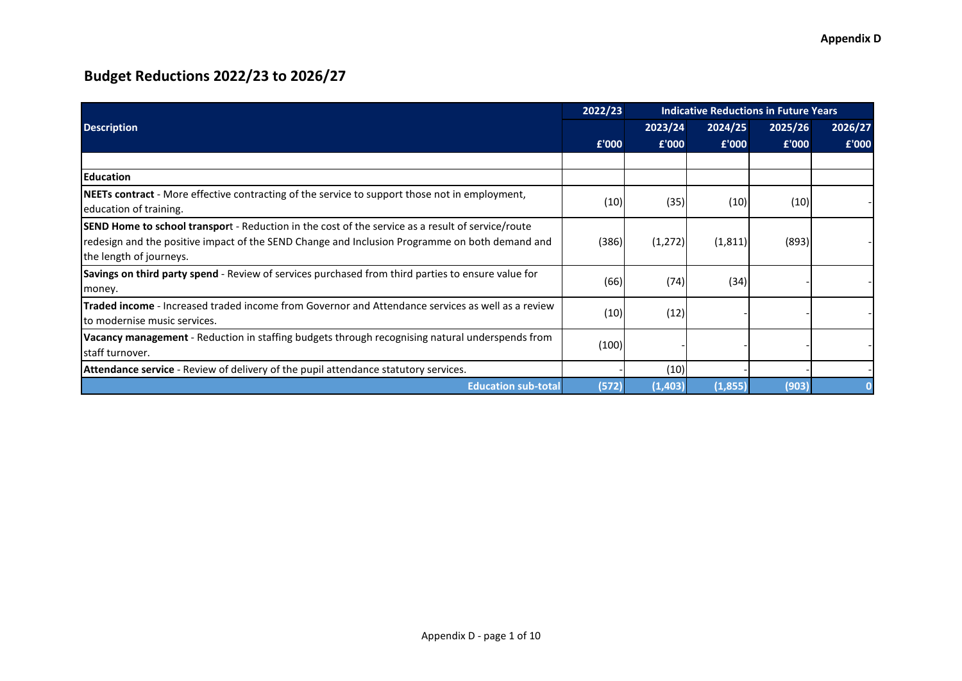|                                                                                                                                                                                                                                       | 2022/23 | <b>Indicative Reductions in Future Years</b> |          |         |         |  |  |  |  |
|---------------------------------------------------------------------------------------------------------------------------------------------------------------------------------------------------------------------------------------|---------|----------------------------------------------|----------|---------|---------|--|--|--|--|
| <b>Description</b>                                                                                                                                                                                                                    |         | 2023/24                                      | 2024/25  | 2025/26 | 2026/27 |  |  |  |  |
|                                                                                                                                                                                                                                       | £'000   | £'000                                        | £'000    | £'000   | £'000   |  |  |  |  |
|                                                                                                                                                                                                                                       |         |                                              |          |         |         |  |  |  |  |
| <b>IEducation</b>                                                                                                                                                                                                                     |         |                                              |          |         |         |  |  |  |  |
| <b>NEETs contract</b> - More effective contracting of the service to support those not in employment,<br>education of training.                                                                                                       | (10)    | (35)                                         | (10)     | (10)    |         |  |  |  |  |
| <b>SEND Home to school transport</b> - Reduction in the cost of the service as a result of service/route<br>redesign and the positive impact of the SEND Change and Inclusion Programme on both demand and<br>the length of journeys. | (386)   | (1, 272)                                     | (1, 811) | (893)   |         |  |  |  |  |
| <b>Savings on third party spend</b> - Review of services purchased from third parties to ensure value for<br>money.                                                                                                                   | (66)    | (74)                                         | (34)     |         |         |  |  |  |  |
| Traded income - Increased traded income from Governor and Attendance services as well as a review<br>lto modernise music services.                                                                                                    | (10)    | (12)                                         |          |         |         |  |  |  |  |
| Vacancy management - Reduction in staffing budgets through recognising natural underspends from<br>staff turnover.                                                                                                                    | (100)   |                                              |          |         |         |  |  |  |  |
| <b>Attendance service</b> - Review of delivery of the pupil attendance statutory services.                                                                                                                                            |         | (10)                                         |          |         |         |  |  |  |  |
| <b>Education sub-total</b>                                                                                                                                                                                                            | (572)   | (1,403)                                      | (1, 855) | (903)   |         |  |  |  |  |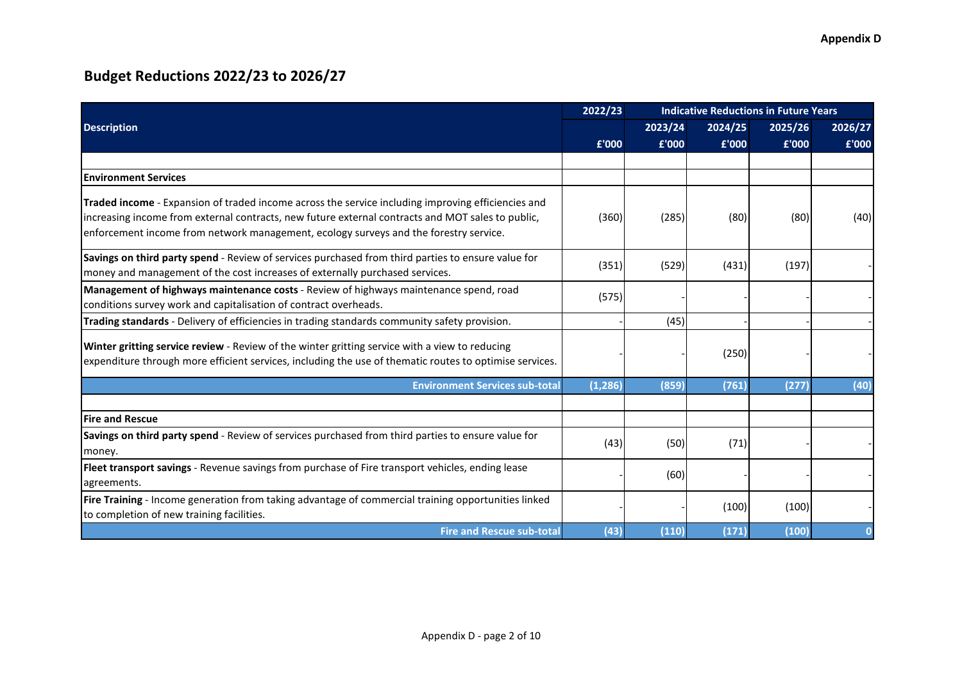|                                                                                                                                                                                                                                                                                                         | 2022/23  | <b>Indicative Reductions in Future Years</b> |         |         |         |
|---------------------------------------------------------------------------------------------------------------------------------------------------------------------------------------------------------------------------------------------------------------------------------------------------------|----------|----------------------------------------------|---------|---------|---------|
| <b>Description</b>                                                                                                                                                                                                                                                                                      |          | 2023/24                                      | 2024/25 | 2025/26 | 2026/27 |
|                                                                                                                                                                                                                                                                                                         | £'000    | £'000                                        | £'000   | £'000   | £'000   |
|                                                                                                                                                                                                                                                                                                         |          |                                              |         |         |         |
| <b>IEnvironment Services</b>                                                                                                                                                                                                                                                                            |          |                                              |         |         |         |
| <b>Traded income</b> - Expansion of traded income across the service including improving efficiencies and<br>increasing income from external contracts, new future external contracts and MOT sales to public,<br>enforcement income from network management, ecology surveys and the forestry service. | (360)    | (285)                                        | (80)    | (80)    | (40)    |
| Savings on third party spend - Review of services purchased from third parties to ensure value for<br>money and management of the cost increases of externally purchased services.                                                                                                                      | (351)    | (529)                                        | (431)   | (197)   |         |
| Management of highways maintenance costs - Review of highways maintenance spend, road<br>conditions survey work and capitalisation of contract overheads.                                                                                                                                               | (575)    |                                              |         |         |         |
| Trading standards - Delivery of efficiencies in trading standards community safety provision.                                                                                                                                                                                                           |          | (45)                                         |         |         |         |
| Winter gritting service review - Review of the winter gritting service with a view to reducing<br>expenditure through more efficient services, including the use of thematic routes to optimise services.                                                                                               |          |                                              | (250)   |         |         |
| <b>Environment Services sub-total</b>                                                                                                                                                                                                                                                                   | (1, 286) | (859)                                        | (761)   | (277)   | (40)    |
|                                                                                                                                                                                                                                                                                                         |          |                                              |         |         |         |
| <b>Fire and Rescue</b>                                                                                                                                                                                                                                                                                  |          |                                              |         |         |         |
| Savings on third party spend - Review of services purchased from third parties to ensure value for<br>money.                                                                                                                                                                                            | (43)     | (50)                                         | (71)    |         |         |
| Fleet transport savings - Revenue savings from purchase of Fire transport vehicles, ending lease<br>agreements.                                                                                                                                                                                         |          | (60)                                         |         |         |         |
| Fire Training - Income generation from taking advantage of commercial training opportunities linked<br>to completion of new training facilities.                                                                                                                                                        |          |                                              | (100)   | (100)   |         |
| <b>Fire and Rescue sub-total</b>                                                                                                                                                                                                                                                                        | (43)     | (110)                                        | (171)   | (100)   |         |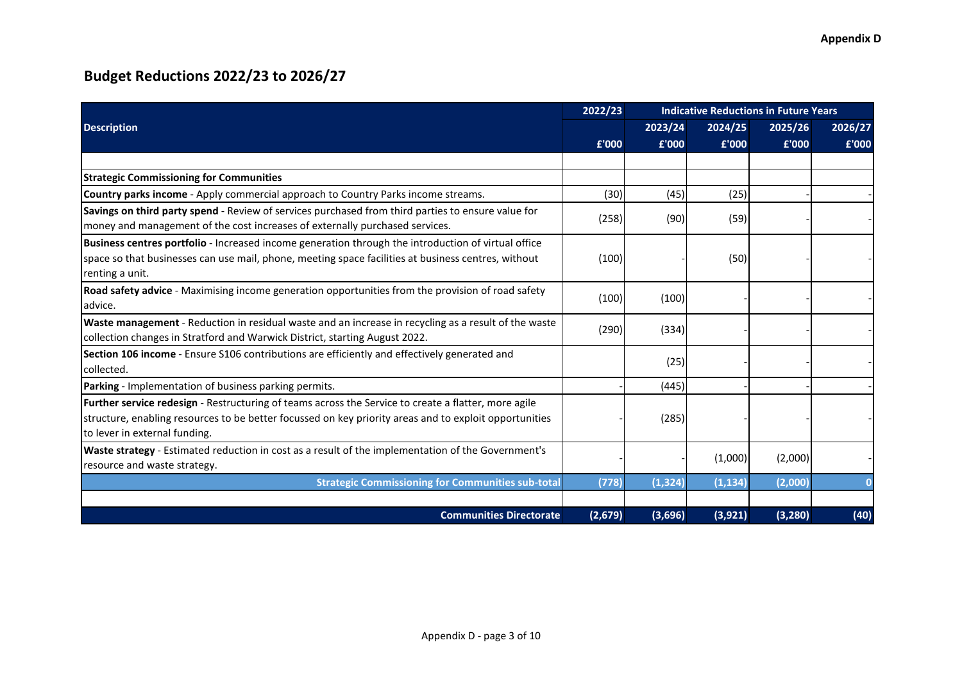|                                                                                                                                                                                                                                                 | 2022/23 | <b>Indicative Reductions in Future Years</b> |          |          |         |  |  |  |  |
|-------------------------------------------------------------------------------------------------------------------------------------------------------------------------------------------------------------------------------------------------|---------|----------------------------------------------|----------|----------|---------|--|--|--|--|
| <b>Description</b>                                                                                                                                                                                                                              |         | 2023/24                                      | 2024/25  | 2025/26  | 2026/27 |  |  |  |  |
|                                                                                                                                                                                                                                                 | £'000   | £'000                                        | £'000    | £'000    | £'000   |  |  |  |  |
|                                                                                                                                                                                                                                                 |         |                                              |          |          |         |  |  |  |  |
| <b>Strategic Commissioning for Communities</b>                                                                                                                                                                                                  |         |                                              |          |          |         |  |  |  |  |
| Country parks income - Apply commercial approach to Country Parks income streams.                                                                                                                                                               | (30)    | (45)                                         | (25)     |          |         |  |  |  |  |
| Savings on third party spend - Review of services purchased from third parties to ensure value for<br>money and management of the cost increases of externally purchased services.                                                              | (258)   | (90)                                         | (59)     |          |         |  |  |  |  |
| Business centres portfolio - Increased income generation through the introduction of virtual office<br>space so that businesses can use mail, phone, meeting space facilities at business centres, without<br>renting a unit.                   | (100)   |                                              | (50)     |          |         |  |  |  |  |
| Road safety advice - Maximising income generation opportunities from the provision of road safety<br>advice.                                                                                                                                    | (100)   | (100)                                        |          |          |         |  |  |  |  |
| Waste management - Reduction in residual waste and an increase in recycling as a result of the waste<br>collection changes in Stratford and Warwick District, starting August 2022.                                                             | (290)   | (334)                                        |          |          |         |  |  |  |  |
| Section 106 income - Ensure S106 contributions are efficiently and effectively generated and<br>collected.                                                                                                                                      |         | (25)                                         |          |          |         |  |  |  |  |
| Parking - Implementation of business parking permits.                                                                                                                                                                                           |         | (445)                                        |          |          |         |  |  |  |  |
| Further service redesign - Restructuring of teams across the Service to create a flatter, more agile<br>structure, enabling resources to be better focussed on key priority areas and to exploit opportunities<br>to lever in external funding. |         | (285)                                        |          |          |         |  |  |  |  |
| Waste strategy - Estimated reduction in cost as a result of the implementation of the Government's<br>resource and waste strategy.                                                                                                              |         |                                              | (1,000)  | (2,000)  |         |  |  |  |  |
| <b>Strategic Commissioning for Communities sub-total</b>                                                                                                                                                                                        | (778)   | (1, 324)                                     | (1, 134) | (2,000)  |         |  |  |  |  |
|                                                                                                                                                                                                                                                 |         |                                              |          |          |         |  |  |  |  |
| <b>Communities Directorate</b>                                                                                                                                                                                                                  | (2,679) | (3,696)                                      | (3,921)  | (3, 280) | (40)    |  |  |  |  |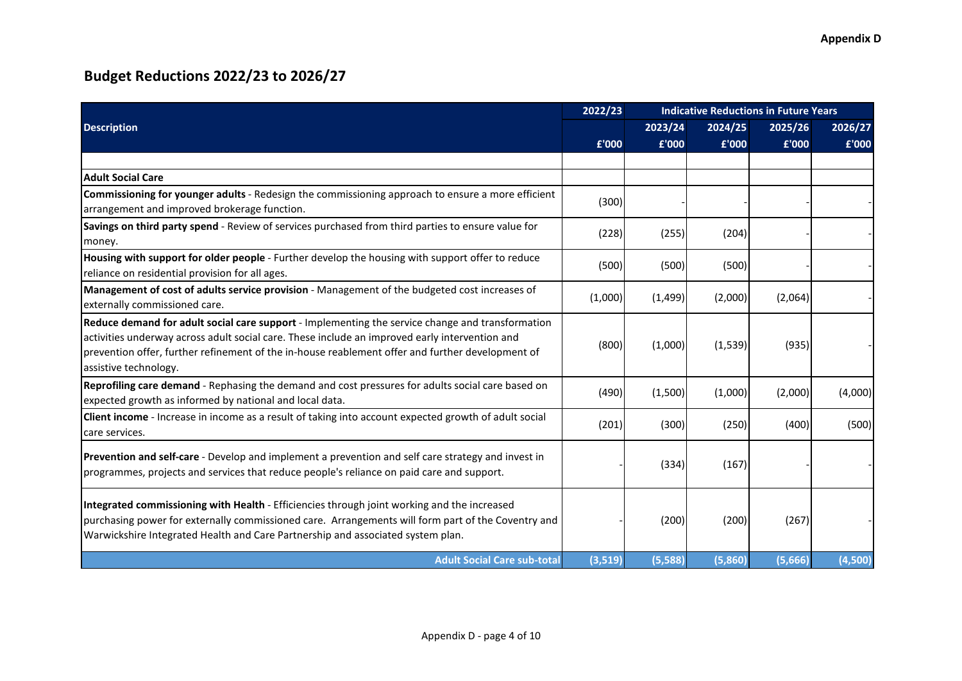|                                                                                                                                                                                                                                                                                                                                 | 2022/23 | <b>Indicative Reductions in Future Years</b> |         |         |         |  |  |  |
|---------------------------------------------------------------------------------------------------------------------------------------------------------------------------------------------------------------------------------------------------------------------------------------------------------------------------------|---------|----------------------------------------------|---------|---------|---------|--|--|--|
| <b>Description</b>                                                                                                                                                                                                                                                                                                              |         | 2023/24                                      | 2024/25 | 2025/26 | 2026/27 |  |  |  |
|                                                                                                                                                                                                                                                                                                                                 | £'000   | £'000                                        | £'000   | £'000   | £'000   |  |  |  |
|                                                                                                                                                                                                                                                                                                                                 |         |                                              |         |         |         |  |  |  |
| <b>Adult Social Care</b>                                                                                                                                                                                                                                                                                                        |         |                                              |         |         |         |  |  |  |
| Commissioning for younger adults - Redesign the commissioning approach to ensure a more efficient<br>arrangement and improved brokerage function.                                                                                                                                                                               | (300)   |                                              |         |         |         |  |  |  |
| Savings on third party spend - Review of services purchased from third parties to ensure value for<br>money.                                                                                                                                                                                                                    | (228)   | (255)                                        | (204)   |         |         |  |  |  |
| Housing with support for older people - Further develop the housing with support offer to reduce<br>reliance on residential provision for all ages.                                                                                                                                                                             | (500)   | (500)                                        | (500)   |         |         |  |  |  |
| Management of cost of adults service provision - Management of the budgeted cost increases of<br>externally commissioned care.                                                                                                                                                                                                  | (1,000) | (1,499)                                      | (2,000) | (2,064) |         |  |  |  |
| Reduce demand for adult social care support - Implementing the service change and transformation<br>activities underway across adult social care. These include an improved early intervention and<br>prevention offer, further refinement of the in-house reablement offer and further development of<br>assistive technology. | (800)   | (1,000)                                      | (1,539) | (935)   |         |  |  |  |
| Reprofiling care demand - Rephasing the demand and cost pressures for adults social care based on<br>expected growth as informed by national and local data.                                                                                                                                                                    | (490)   | (1,500)                                      | (1,000) | (2,000) | (4,000) |  |  |  |
| Client income - Increase in income as a result of taking into account expected growth of adult social<br>care services.                                                                                                                                                                                                         | (201)   | (300)                                        | (250)   | (400)   | (500)   |  |  |  |
| Prevention and self-care - Develop and implement a prevention and self care strategy and invest in<br>programmes, projects and services that reduce people's reliance on paid care and support.                                                                                                                                 |         | (334)                                        | (167)   |         |         |  |  |  |
| Integrated commissioning with Health - Efficiencies through joint working and the increased<br>purchasing power for externally commissioned care. Arrangements will form part of the Coventry and<br>Warwickshire Integrated Health and Care Partnership and associated system plan.                                            |         | (200)                                        | (200)   | (267)   |         |  |  |  |
| <b>Adult Social Care sub-total</b>                                                                                                                                                                                                                                                                                              | (3,519) | (5,588)                                      | (5,860) | (5,666) | (4,500) |  |  |  |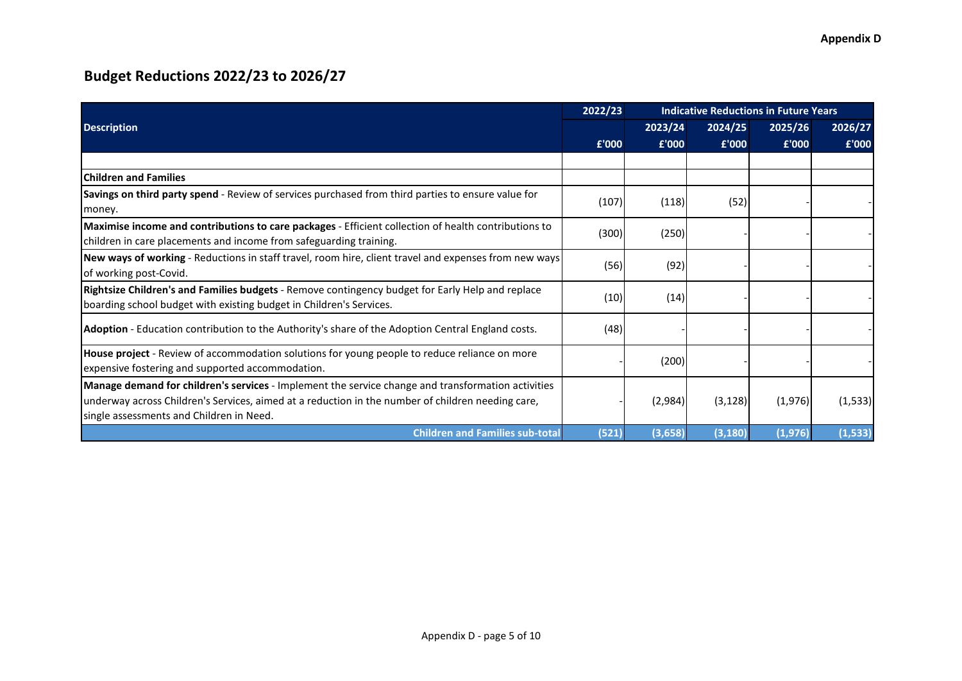|                                                                                                                                                                                                                                                     | 2022/23 | <b>Indicative Reductions in Future Years</b> |          |         |          |  |  |  |  |
|-----------------------------------------------------------------------------------------------------------------------------------------------------------------------------------------------------------------------------------------------------|---------|----------------------------------------------|----------|---------|----------|--|--|--|--|
| <b>Description</b>                                                                                                                                                                                                                                  |         | 2023/24                                      | 2024/25  | 2025/26 | 2026/27  |  |  |  |  |
|                                                                                                                                                                                                                                                     | £'000   | £'000                                        | £'000    | £'000   | £'000    |  |  |  |  |
|                                                                                                                                                                                                                                                     |         |                                              |          |         |          |  |  |  |  |
| <b>IChildren and Families</b>                                                                                                                                                                                                                       |         |                                              |          |         |          |  |  |  |  |
| Savings on third party spend - Review of services purchased from third parties to ensure value for<br>money.                                                                                                                                        | (107)   | (118)                                        | (52)     |         |          |  |  |  |  |
| Maximise income and contributions to care packages - Efficient collection of health contributions to<br>children in care placements and income from safeguarding training.                                                                          | (300)   | (250)                                        |          |         |          |  |  |  |  |
| New ways of working - Reductions in staff travel, room hire, client travel and expenses from new ways<br>of working post-Covid.                                                                                                                     | (56)    | (92)                                         |          |         |          |  |  |  |  |
| Rightsize Children's and Families budgets - Remove contingency budget for Early Help and replace<br>boarding school budget with existing budget in Children's Services.                                                                             | (10)    | (14)                                         |          |         |          |  |  |  |  |
| Adoption - Education contribution to the Authority's share of the Adoption Central England costs.                                                                                                                                                   | (48)    |                                              |          |         |          |  |  |  |  |
| House project - Review of accommodation solutions for young people to reduce reliance on more<br>expensive fostering and supported accommodation.                                                                                                   |         | (200)                                        |          |         |          |  |  |  |  |
| Manage demand for children's services - Implement the service change and transformation activities<br>underway across Children's Services, aimed at a reduction in the number of children needing care,<br>single assessments and Children in Need. |         | (2,984)                                      | (3, 128) | (1,976) | (1, 533) |  |  |  |  |
| <b>Children and Families sub-total</b>                                                                                                                                                                                                              | (521)   | (3,658)                                      | (3, 180) | (1,976) | (1, 533) |  |  |  |  |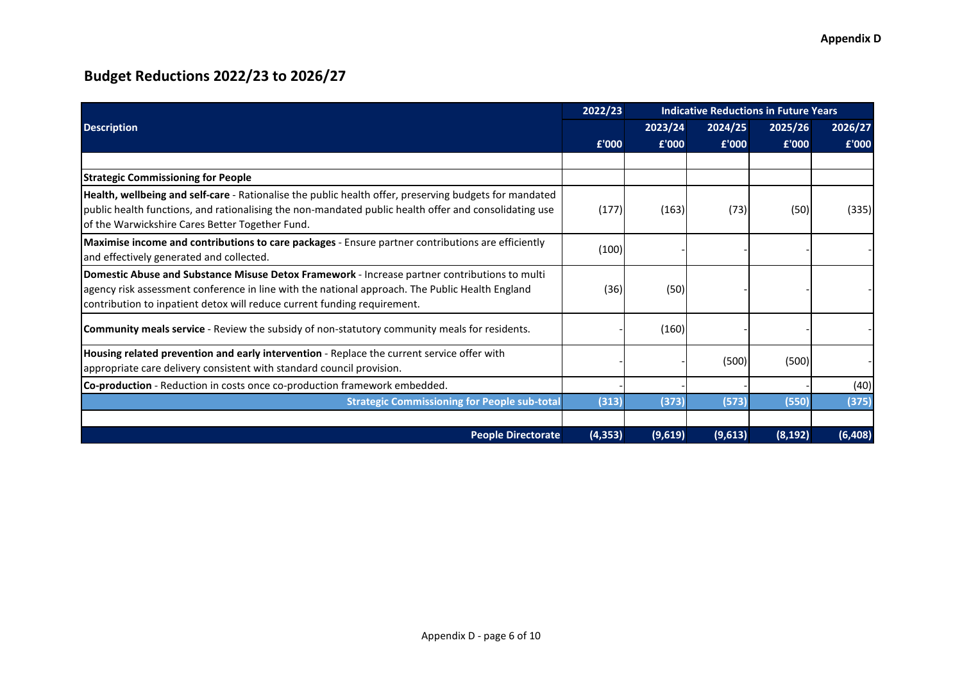|                                                                                                                                                                                                                                                                              | 2022/23  | <b>Indicative Reductions in Future Years</b> |         |          |          |
|------------------------------------------------------------------------------------------------------------------------------------------------------------------------------------------------------------------------------------------------------------------------------|----------|----------------------------------------------|---------|----------|----------|
| <b>Description</b>                                                                                                                                                                                                                                                           |          | 2023/24                                      | 2024/25 | 2025/26  | 2026/27  |
|                                                                                                                                                                                                                                                                              | £'000    | £'000                                        | £'000   | £'000    | £'000    |
|                                                                                                                                                                                                                                                                              |          |                                              |         |          |          |
| <b>Strategic Commissioning for People</b>                                                                                                                                                                                                                                    |          |                                              |         |          |          |
| Health, wellbeing and self-care - Rationalise the public health offer, preserving budgets for mandated<br>public health functions, and rationalising the non-mandated public health offer and consolidating use<br>of the Warwickshire Cares Better Together Fund.           | (177)    | (163)                                        | (73)    | (50)     | (335)    |
| Maximise income and contributions to care packages - Ensure partner contributions are efficiently<br>and effectively generated and collected.                                                                                                                                | (100)    |                                              |         |          |          |
| Domestic Abuse and Substance Misuse Detox Framework - Increase partner contributions to multi<br>agency risk assessment conference in line with the national approach. The Public Health England<br>contribution to inpatient detox will reduce current funding requirement. | (36)     | (50)                                         |         |          |          |
| Community meals service - Review the subsidy of non-statutory community meals for residents.                                                                                                                                                                                 |          | (160)                                        |         |          |          |
| Housing related prevention and early intervention - Replace the current service offer with<br>appropriate care delivery consistent with standard council provision.                                                                                                          |          |                                              | (500)   | (500)    |          |
| Co-production - Reduction in costs once co-production framework embedded.                                                                                                                                                                                                    |          |                                              |         |          | (40)     |
| <b>Strategic Commissioning for People sub-total</b>                                                                                                                                                                                                                          | (313)    | (373)                                        | (573)   | (550)    | (375)    |
|                                                                                                                                                                                                                                                                              |          |                                              |         |          |          |
| <b>People Directorate</b>                                                                                                                                                                                                                                                    | (4, 353) | (9,619)                                      | (9,613) | (8, 192) | (6, 408) |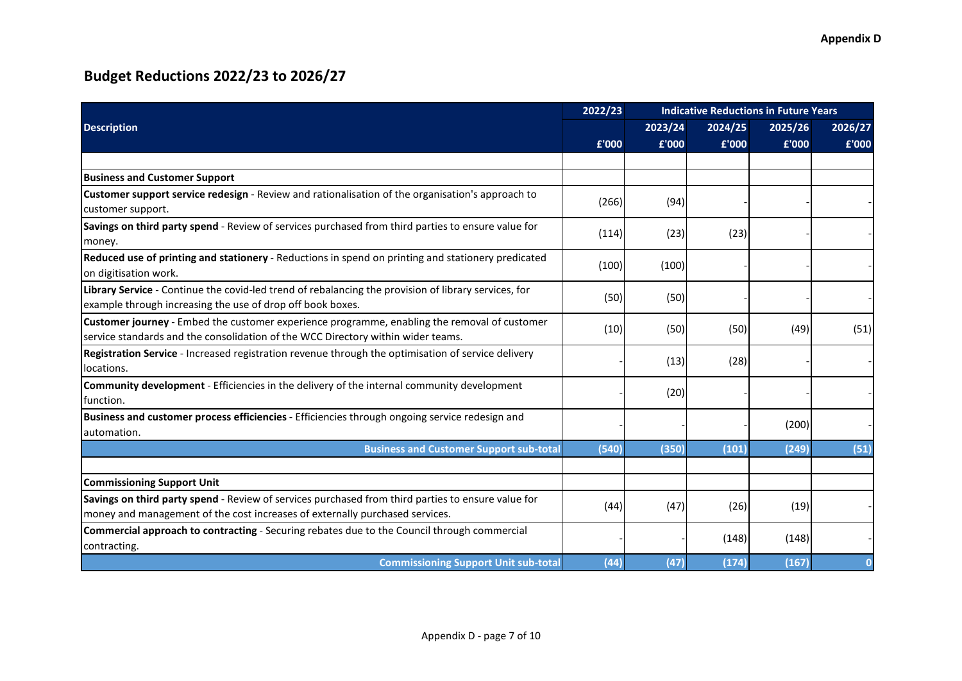|                                                                                                                                                                                    | 2022/23<br><b>Indicative Reductions in Future Years</b> |         |         |         |         |
|------------------------------------------------------------------------------------------------------------------------------------------------------------------------------------|---------------------------------------------------------|---------|---------|---------|---------|
| <b>Description</b>                                                                                                                                                                 |                                                         | 2023/24 | 2024/25 | 2025/26 | 2026/27 |
|                                                                                                                                                                                    | £'000                                                   | £'000   | £'000   | £'000   | £'000   |
|                                                                                                                                                                                    |                                                         |         |         |         |         |
| <b>Business and Customer Support</b>                                                                                                                                               |                                                         |         |         |         |         |
| Customer support service redesign - Review and rationalisation of the organisation's approach to<br>customer support.                                                              | (266)                                                   | (94)    |         |         |         |
| Savings on third party spend - Review of services purchased from third parties to ensure value for<br>money.                                                                       | (114)                                                   | (23)    | (23)    |         |         |
| Reduced use of printing and stationery - Reductions in spend on printing and stationery predicated<br>on digitisation work.                                                        | (100)                                                   | (100)   |         |         |         |
| Library Service - Continue the covid-led trend of rebalancing the provision of library services, for<br>example through increasing the use of drop off book boxes.                 | (50)                                                    | (50)    |         |         |         |
| Customer journey - Embed the customer experience programme, enabling the removal of customer<br>service standards and the consolidation of the WCC Directory within wider teams.   | (10)                                                    | (50)    | (50)    | (49)    | (51)    |
| Registration Service - Increased registration revenue through the optimisation of service delivery<br>locations.                                                                   |                                                         | (13)    | (28)    |         |         |
| Community development - Efficiencies in the delivery of the internal community development<br>Ifunction.                                                                           |                                                         | (20)    |         |         |         |
| Business and customer process efficiencies - Efficiencies through ongoing service redesign and<br>lautomation.                                                                     |                                                         |         |         | (200)   |         |
| <b>Business and Customer Support sub-total</b>                                                                                                                                     | (540)                                                   | (350)   | (101)   | (249)   | (51)    |
| <b>Commissioning Support Unit</b>                                                                                                                                                  |                                                         |         |         |         |         |
| Savings on third party spend - Review of services purchased from third parties to ensure value for<br>money and management of the cost increases of externally purchased services. | (44)                                                    | (47)    | (26)    | (19)    |         |
| Commercial approach to contracting - Securing rebates due to the Council through commercial<br>contracting.                                                                        |                                                         |         | (148)   | (148)   |         |
| <b>Commissioning Support Unit sub-total</b>                                                                                                                                        | (44)                                                    | (47)    | (174)   | (167)   |         |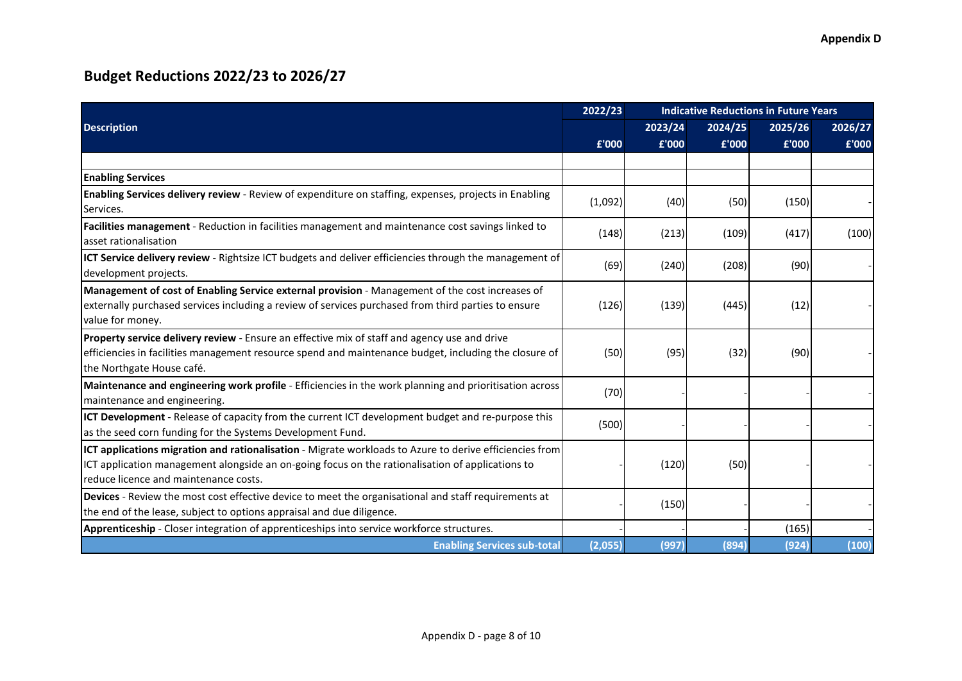|                                                                                                                                                                                                                                                             | 2022/23 | <b>Indicative Reductions in Future Years</b> |         |         |         |
|-------------------------------------------------------------------------------------------------------------------------------------------------------------------------------------------------------------------------------------------------------------|---------|----------------------------------------------|---------|---------|---------|
| <b>Description</b>                                                                                                                                                                                                                                          |         | 2023/24                                      | 2024/25 | 2025/26 | 2026/27 |
|                                                                                                                                                                                                                                                             | £'000   | £'000                                        | £'000   | £'000   | £'000   |
|                                                                                                                                                                                                                                                             |         |                                              |         |         |         |
| <b>Enabling Services</b>                                                                                                                                                                                                                                    |         |                                              |         |         |         |
| Enabling Services delivery review - Review of expenditure on staffing, expenses, projects in Enabling<br>Services.                                                                                                                                          | (1,092) | (40)                                         | (50)    | (150)   |         |
| Facilities management - Reduction in facilities management and maintenance cost savings linked to<br>asset rationalisation                                                                                                                                  | (148)   | (213)                                        | (109)   | (417)   | (100)   |
| ICT Service delivery review - Rightsize ICT budgets and deliver efficiencies through the management of<br>development projects.                                                                                                                             | (69)    | (240)                                        | (208)   | (90)    |         |
| Management of cost of Enabling Service external provision - Management of the cost increases of<br>externally purchased services including a review of services purchased from third parties to ensure<br>value for money.                                  | (126)   | (139)                                        | (445)   | (12)    |         |
| Property service delivery review - Ensure an effective mix of staff and agency use and drive<br>efficiencies in facilities management resource spend and maintenance budget, including the closure of<br>the Northgate House café.                          | (50)    | (95)                                         | (32)    | (90)    |         |
| Maintenance and engineering work profile - Efficiencies in the work planning and prioritisation across<br>maintenance and engineering.                                                                                                                      | (70)    |                                              |         |         |         |
| ICT Development - Release of capacity from the current ICT development budget and re-purpose this<br>as the seed corn funding for the Systems Development Fund.                                                                                             | (500)   |                                              |         |         |         |
| <b>ICT applications migration and rationalisation</b> - Migrate workloads to Azure to derive efficiencies from<br>ICT application management alongside an on-going focus on the rationalisation of applications to<br>reduce licence and maintenance costs. |         | (120)                                        | (50)    |         |         |
| Devices - Review the most cost effective device to meet the organisational and staff requirements at<br>the end of the lease, subject to options appraisal and due diligence.                                                                               |         | (150)                                        |         |         |         |
| Apprenticeship - Closer integration of apprenticeships into service workforce structures.                                                                                                                                                                   |         |                                              |         | (165)   |         |
| <b>Enabling Services sub-total</b>                                                                                                                                                                                                                          | (2,055) | (997)                                        | (894)   | (924)   | (100)   |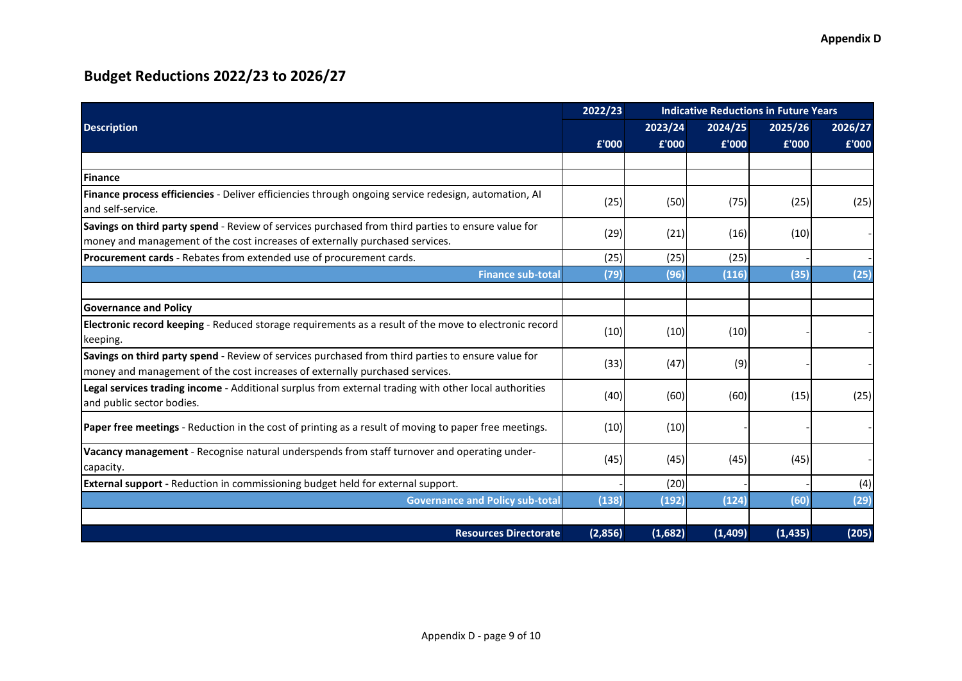|                                                                                                                                                                                    | 2022/23 | <b>Indicative Reductions in Future Years</b> |         |          |         |  |  |  |
|------------------------------------------------------------------------------------------------------------------------------------------------------------------------------------|---------|----------------------------------------------|---------|----------|---------|--|--|--|
| <b>Description</b>                                                                                                                                                                 |         | 2023/24                                      | 2024/25 | 2025/26  | 2026/27 |  |  |  |
|                                                                                                                                                                                    | £'000   | £'000                                        | £'000   | £'000    | £'000   |  |  |  |
|                                                                                                                                                                                    |         |                                              |         |          |         |  |  |  |
| <b>IFinance</b>                                                                                                                                                                    |         |                                              |         |          |         |  |  |  |
| Finance process efficiencies - Deliver efficiencies through ongoing service redesign, automation, Al<br>and self-service.                                                          | (25)    | (50)                                         | (75)    | (25)     | (25)    |  |  |  |
| Savings on third party spend - Review of services purchased from third parties to ensure value for<br>money and management of the cost increases of externally purchased services. | (29)    | (21)                                         | (16)    | (10)     |         |  |  |  |
| <b>Procurement cards</b> - Rebates from extended use of procurement cards.                                                                                                         | (25)    | (25)                                         | (25)    |          |         |  |  |  |
| <b>Finance sub-total</b>                                                                                                                                                           | (79)    | (96)                                         | (116)   | (35)     | (25)    |  |  |  |
|                                                                                                                                                                                    |         |                                              |         |          |         |  |  |  |
| <b>Governance and Policy</b>                                                                                                                                                       |         |                                              |         |          |         |  |  |  |
| Electronic record keeping - Reduced storage requirements as a result of the move to electronic record<br>keeping.                                                                  | (10)    | (10)                                         | (10)    |          |         |  |  |  |
| Savings on third party spend - Review of services purchased from third parties to ensure value for<br>money and management of the cost increases of externally purchased services. | (33)    | (47)                                         | (9)     |          |         |  |  |  |
| Legal services trading income - Additional surplus from external trading with other local authorities<br>and public sector bodies.                                                 | (40)    | (60)                                         | (60)    | (15)     | (25)    |  |  |  |
| Paper free meetings - Reduction in the cost of printing as a result of moving to paper free meetings.                                                                              | (10)    | (10)                                         |         |          |         |  |  |  |
| Vacancy management - Recognise natural underspends from staff turnover and operating under-<br>capacity.                                                                           | (45)    | (45)                                         | (45)    | (45)     |         |  |  |  |
| <b>External support</b> - Reduction in commissioning budget held for external support.                                                                                             |         | (20)                                         |         |          | (4)     |  |  |  |
| <b>Governance and Policy sub-total</b>                                                                                                                                             | (138)   | (192)                                        | (124)   | (60)     | (29)    |  |  |  |
|                                                                                                                                                                                    |         |                                              |         |          |         |  |  |  |
| <b>Resources Directorate</b>                                                                                                                                                       | (2,856) | (1,682)                                      | (1,409) | (1, 435) | (205)   |  |  |  |